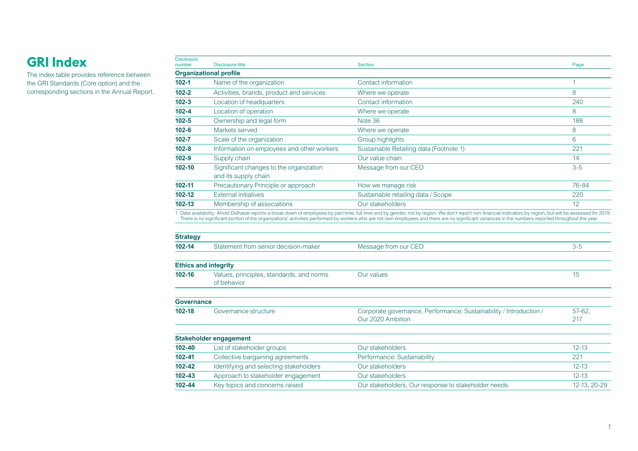The index table provides reference between the GRI Standards (Core option) and the corresponding sections in the Annual Report.

| <b>Disclosure</b><br>number | Disclosure title                                                | <b>Section</b>                          | Page  |
|-----------------------------|-----------------------------------------------------------------|-----------------------------------------|-------|
|                             | <b>Organizational profile</b>                                   |                                         |       |
| $102 - 1$                   | Name of the organization                                        | Contact information                     |       |
| $102 - 2$                   | Activities, brands, product and services                        | Where we operate                        | 8     |
| $102 - 3$                   | Location of headquarters                                        | Contact information                     | 240   |
| $102 - 4$                   | Location of operation                                           | Where we operate                        | 8     |
| $102 - 5$                   | Ownership and legal form                                        | Note 36                                 | 188   |
| $102 - 6$                   | Markets served                                                  | Where we operate                        | 8     |
| $102 - 7$                   | Scale of the organization                                       | Group highlights                        | 6     |
| $102 - 8$                   | Information on employees and other workers                      | Sustainable Retailing data (Footnote 1) | 221   |
| $102 - 9$                   | Supply chain                                                    | Our value chain                         | 14    |
| $102 - 10$                  | Significant changes to the organization<br>and its supply chain | Message from our CEO                    | $3-5$ |
| $102 - 11$                  | Precautionary Principle or approach                             | How we manage risk                      | 76-84 |
| 102-12                      | <b>External initiatives</b>                                     | Sustainable retailing data / Scope      | 220   |
| $102 - 13$                  | Membership of associations                                      | Our stakeholders                        | 12    |

1 Data availability: Ahold Delhaize reports a break down of employees by part time, full time and by gender, not by region. We don't report non-financial indicators by region, but will be assessed for 2019.<br>There is no sig

| <b>Strategy</b>   |                                                         |                                                                    |              |
|-------------------|---------------------------------------------------------|--------------------------------------------------------------------|--------------|
| 102-14            | Statement from senior decision-maker                    | Message from our CEO                                               | $3 - 5$      |
|                   | <b>Ethics and integrity</b>                             |                                                                    |              |
| 102-16            | Values, principles, standards, and norms<br>of behavior | Our values                                                         | 15           |
| <b>Governance</b> |                                                         |                                                                    |              |
| 102-18            | Governance structure                                    | Corporate governance, Performance: Sustainability / Introduction / | $57-62$      |
|                   |                                                         | Our 2020 Ambition                                                  | 217          |
|                   | <b>Stakeholder engagement</b>                           |                                                                    |              |
| 102-40            | List of stakeholder groups                              | Our stakeholders                                                   | $12 - 13$    |
| 102-41            | Collective bargaining agreements                        | Performance: Sustainability                                        | 221          |
| 102-42            | Identifying and selecting stakeholders                  | Our stakeholders                                                   | $12 - 13$    |
| $102 - 43$        | Approach to stakeholder engagement                      | Our stakeholders                                                   | $12 - 13$    |
| 102-44            | Key topics and concerns raised                          | Our stakeholders, Our response to stakeholder needs                | 12-13, 20-29 |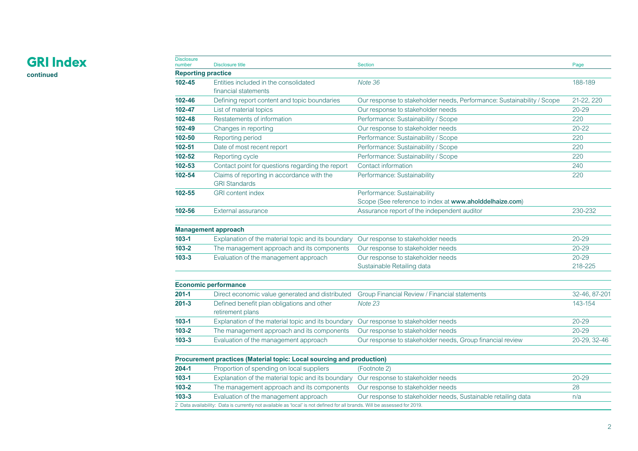**continued**

| <b>Disclosure</b><br>number | <b>Disclosure title</b>                                               | <b>Section</b>                                                         | Page          |
|-----------------------------|-----------------------------------------------------------------------|------------------------------------------------------------------------|---------------|
| <b>Reporting practice</b>   |                                                                       |                                                                        |               |
| $102 - 45$                  | Entities included in the consolidated                                 | Note 36                                                                | 188-189       |
|                             | financial statements                                                  |                                                                        |               |
| 102-46                      | Defining report content and topic boundaries                          | Our response to stakeholder needs, Performance: Sustainability / Scope | 21-22, 220    |
| 102-47                      | List of material topics                                               | Our response to stakeholder needs                                      | $20 - 29$     |
| 102-48                      | Restatements of information                                           | Performance: Sustainability / Scope                                    | 220           |
| 102-49                      | Changes in reporting                                                  | Our response to stakeholder needs                                      | $20 - 22$     |
| 102-50                      | Reporting period                                                      | Performance: Sustainability / Scope                                    | 220           |
| $102 - 51$                  | Date of most recent report                                            | Performance: Sustainability / Scope                                    | 220           |
| 102-52                      | Reporting cycle                                                       | Performance: Sustainability / Scope                                    | 220           |
| 102-53                      | Contact point for questions regarding the report                      | Contact information                                                    | 240           |
| 102-54                      | Claims of reporting in accordance with the<br><b>GRI Standards</b>    | Performance: Sustainability                                            | 220           |
| 102-55                      | <b>GRI</b> content index                                              | Performance: Sustainability                                            |               |
|                             |                                                                       | Scope (See reference to index at www.aholddelhaize.com)                |               |
| 102-56                      | External assurance                                                    | Assurance report of the independent auditor                            | 230-232       |
|                             | <b>Management approach</b>                                            |                                                                        |               |
| $103 - 1$                   | Explanation of the material topic and its boundary                    | Our response to stakeholder needs                                      | $20 - 29$     |
| $103 - 2$                   | The management approach and its components                            | Our response to stakeholder needs                                      | $20 - 29$     |
| $103 - 3$                   | Evaluation of the management approach                                 | Our response to stakeholder needs                                      | $20 - 29$     |
|                             |                                                                       | Sustainable Retailing data                                             | 218-225       |
|                             | <b>Economic performance</b>                                           |                                                                        |               |
| $201 - 1$                   | Direct economic value generated and distributed                       | Group Financial Review / Financial statements                          | 32-46, 87-201 |
| $201 - 3$                   | Defined benefit plan obligations and other<br>retirement plans        | Note 23                                                                | 143-154       |
| $103 - 1$                   | Explanation of the material topic and its boundary                    | Our response to stakeholder needs                                      | $20 - 29$     |
| $103 - 2$                   | The management approach and its components                            | Our response to stakeholder needs                                      | $20 - 29$     |
| $103 - 3$                   | Evaluation of the management approach                                 | Our response to stakeholder needs, Group financial review              | 20-29, 32-46  |
|                             | Procurement practices (Material topic: Local sourcing and production) |                                                                        |               |
| $204 - 1$                   | Proportion of spending on local suppliers                             | (Footnote 2)                                                           |               |
| $103 - 1$                   | Explanation of the material topic and its boundary                    | Our response to stakeholder needs                                      | $20 - 29$     |
| $103 - 2$                   | The management approach and its components                            | Our response to stakeholder needs                                      | 28            |
| $103 - 3$                   | Evaluation of the management approach                                 | Our response to stakeholder needs, Sustainable retailing data          | n/a           |

2 Data availability: Data is currently not available as 'local' is not defined for all brands. Will be assessed for 2019.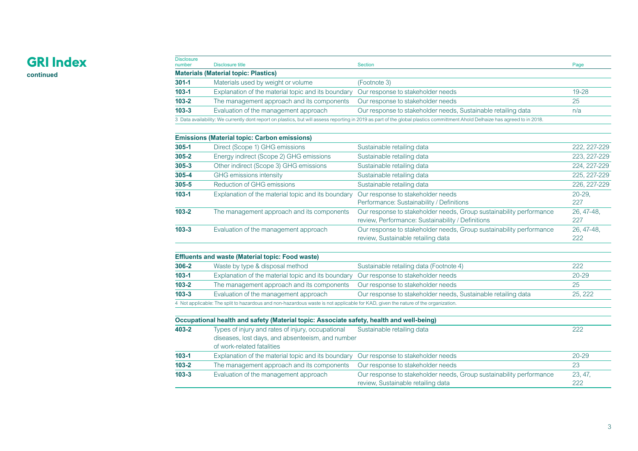#### **GRI Index continued**

Disclosure<br>number number Disclosure title Section Page **Materials (Material topic: Plastics) 301-1** Materials used by weight or volume (Footnote 3) **103-1** Explanation of the material topic and its boundary Our response to stakeholder needs 19-28<br> **103-2** The management approach and its components Our response to stakeholder needs 25 **103-2** The management approach and its components Our response to stakeholder needs 25 **103-3** Evaluation of the management approach Our response to stakeholder needs, Sustainable retailing data n/a 3 Data availability: We currently dont report on plastics, but will assess reporting in 2019 as part of the global plastics committment Ahold Delhaize has agreed to in 2018.

|           | <b>Emissions (Material topic: Carbon emissions)</b> |                                                                     |              |
|-----------|-----------------------------------------------------|---------------------------------------------------------------------|--------------|
| $305 - 1$ | Direct (Scope 1) GHG emissions                      | Sustainable retailing data                                          | 222, 227-229 |
| $305 - 2$ | Energy indirect (Scope 2) GHG emissions             | Sustainable retailing data                                          | 223, 227-229 |
| $305 - 3$ | Other indirect (Scope 3) GHG emissions              | Sustainable retailing data                                          | 224, 227-229 |
| $305 - 4$ | GHG emissions intensity                             | Sustainable retailing data                                          | 225, 227-229 |
| $305 - 5$ | Reduction of GHG emissions                          | Sustainable retailing data                                          | 226, 227-229 |
| $103 - 1$ | Explanation of the material topic and its boundary  | Our response to stakeholder needs                                   | $20 - 29$    |
|           |                                                     | Performance: Sustainability / Definitions                           | 227          |
| $103 - 2$ | The management approach and its components          | Our response to stakeholder needs, Group sustainability performance | 26, 47-48,   |
|           |                                                     | review, Performance: Sustainability / Definitions                   | 227          |
| $103 - 3$ | Evaluation of the management approach               | Our response to stakeholder needs, Group sustainability performance | 26, 47-48,   |
|           |                                                     | review, Sustainable retailing data                                  | 222          |

|           | <b>Effluents and waste (Material topic: Food waste)</b>                                                                           |                                                               |           |
|-----------|-----------------------------------------------------------------------------------------------------------------------------------|---------------------------------------------------------------|-----------|
| $306 - 2$ | Waste by type & disposal method                                                                                                   | Sustainable retailing data (Footnote 4)                       | 222       |
| $103 - 1$ | Explanation of the material topic and its boundary Our response to stakeholder needs                                              |                                                               | $20 - 29$ |
| $103 - 2$ | The management approach and its components  Our response to stakeholder needs                                                     |                                                               | 25        |
| $103 - 3$ | Evaluation of the management approach                                                                                             | Our response to stakeholder needs, Sustainable retailing data | 25, 222   |
|           | 4 Not applicable: The split to hazardous and non-hazardous waste is not applicable for KAD, given the nature of the organization. |                                                               |           |

|           | Occupational health and safety (Material topic: Associate safety, health and well-being)                                            |                                                                                                           |                |
|-----------|-------------------------------------------------------------------------------------------------------------------------------------|-----------------------------------------------------------------------------------------------------------|----------------|
| 403-2     | Types of injury and rates of injury, occupational<br>diseases, lost days, and absenteeism, and number<br>of work-related fatalities | Sustainable retailing data                                                                                | 222            |
| $103 - 1$ | Explanation of the material topic and its boundary Our response to stakeholder needs                                                |                                                                                                           | $20 - 29$      |
| $103 - 2$ | The management approach and its components                                                                                          | Our response to stakeholder needs                                                                         | 23             |
| $103 - 3$ | Evaluation of the management approach                                                                                               | Our response to stakeholder needs, Group sustainability performance<br>review, Sustainable retailing data | 23, 47,<br>222 |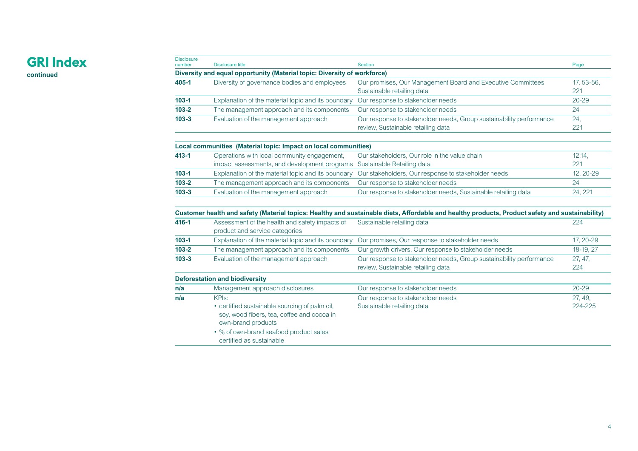**continued**

| <b>Disclosure</b><br>number | <b>Disclosure title</b>                                                                                           | <b>Section</b>                                                                                                                                                                | Page           |
|-----------------------------|-------------------------------------------------------------------------------------------------------------------|-------------------------------------------------------------------------------------------------------------------------------------------------------------------------------|----------------|
|                             | Diversity and equal opportunity (Material topic: Diversity of workforce)                                          |                                                                                                                                                                               |                |
| 405-1                       | Diversity of governance bodies and employees                                                                      | Our promises, Our Management Board and Executive Committees                                                                                                                   | 17, 53-56,     |
|                             |                                                                                                                   | Sustainable retailing data                                                                                                                                                    | 221            |
| $103 - 1$                   | Explanation of the material topic and its boundary                                                                | Our response to stakeholder needs                                                                                                                                             | $20 - 29$      |
| $103 - 2$                   | The management approach and its components                                                                        | Our response to stakeholder needs                                                                                                                                             | 24             |
| $103 - 3$                   | Evaluation of the management approach                                                                             | Our response to stakeholder needs, Group sustainability performance                                                                                                           | 24.            |
|                             |                                                                                                                   | review, Sustainable retailing data                                                                                                                                            | 221            |
|                             | Local communities (Material topic: Impact on local communities)                                                   |                                                                                                                                                                               |                |
| $413 - 1$                   | Operations with local community engagement,                                                                       | Our stakeholders, Our role in the value chain                                                                                                                                 | 12,14,         |
|                             | impact assessments, and development programs                                                                      | Sustainable Retailing data                                                                                                                                                    | 221            |
| $103 - 1$                   | Explanation of the material topic and its boundary                                                                | Our stakeholders, Our response to stakeholder needs                                                                                                                           | 12, 20-29      |
| $103 - 2$                   | The management approach and its components                                                                        | Our response to stakeholder needs                                                                                                                                             | 24             |
| $103 - 3$                   | Evaluation of the management approach                                                                             | Our response to stakeholder needs, Sustainable retailing data                                                                                                                 | 24, 221        |
| 416-1                       | Assessment of the health and safety impacts of<br>product and service categories                                  | Customer health and safety (Material topics: Healthy and sustainable diets, Affordable and healthy products, Product safety and sustainability)<br>Sustainable retailing data | 224            |
| $103 - 1$                   | Explanation of the material topic and its boundary                                                                | Our promises, Our response to stakeholder needs                                                                                                                               | 17, 20-29      |
| $103 - 2$                   | The management approach and its components                                                                        | Our growth drivers, Our response to stakeholder needs                                                                                                                         | 18-19, 27      |
| $103 - 3$                   | Evaluation of the management approach                                                                             | Our response to stakeholder needs, Group sustainability performance<br>review, Sustainable retailing data                                                                     | 27, 47,<br>224 |
|                             | <b>Deforestation and biodiversity</b>                                                                             |                                                                                                                                                                               |                |
| n/a                         | Management approach disclosures                                                                                   | Our response to stakeholder needs                                                                                                                                             | $20 - 29$      |
| n/a                         | KPIs:                                                                                                             | Our response to stakeholder needs                                                                                                                                             | 27, 49,        |
|                             | • certified sustainable sourcing of palm oil,<br>soy, wood fibers, tea, coffee and cocoa in<br>own-brand products | Sustainable retailing data                                                                                                                                                    | 224-225        |
|                             | • % of own-brand seafood product sales<br>certified as sustainable                                                |                                                                                                                                                                               |                |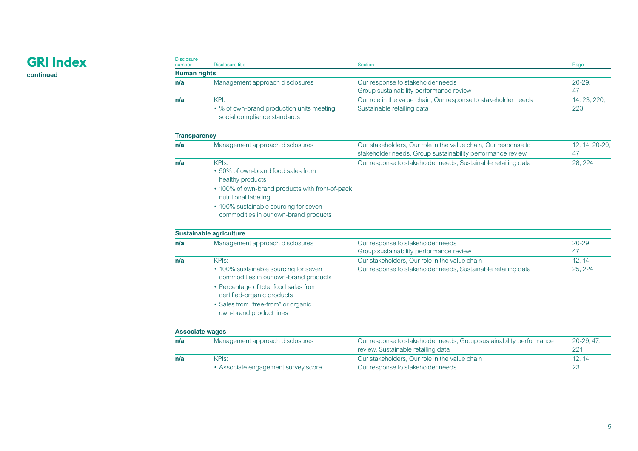**continued**

| <b>Disclosure</b><br>number | Disclosure title                                                                                                        | <b>Section</b>                                                                                                               | Page                 |
|-----------------------------|-------------------------------------------------------------------------------------------------------------------------|------------------------------------------------------------------------------------------------------------------------------|----------------------|
| <b>Human rights</b>         |                                                                                                                         |                                                                                                                              |                      |
| n/a                         | Management approach disclosures                                                                                         | Our response to stakeholder needs                                                                                            | $20 - 29$            |
|                             |                                                                                                                         | Group sustainability performance review                                                                                      | 47                   |
| n/a                         | KPI:                                                                                                                    | Our role in the value chain, Our response to stakeholder needs                                                               | 14, 23, 220,         |
|                             | • % of own-brand production units meeting<br>social compliance standards                                                | Sustainable retailing data                                                                                                   | 223                  |
| <b>Transparency</b>         |                                                                                                                         |                                                                                                                              |                      |
| n/a                         | Management approach disclosures                                                                                         | Our stakeholders, Our role in the value chain, Our response to<br>stakeholder needs, Group sustainability performance review | 12, 14, 20-29,<br>47 |
| n/a                         | KPI <sub>S</sub> :                                                                                                      | Our response to stakeholder needs, Sustainable retailing data                                                                | 28, 224              |
|                             | • 50% of own-brand food sales from<br>healthy products                                                                  |                                                                                                                              |                      |
|                             | • 100% of own-brand products with front-of-pack<br>nutritional labeling                                                 |                                                                                                                              |                      |
|                             | • 100% sustainable sourcing for seven                                                                                   |                                                                                                                              |                      |
|                             | commodities in our own-brand products                                                                                   |                                                                                                                              |                      |
|                             | <b>Sustainable agriculture</b>                                                                                          |                                                                                                                              |                      |
| n/a                         | Management approach disclosures                                                                                         | Our response to stakeholder needs<br>Group sustainability performance review                                                 | $20 - 29$<br>47      |
| n/a                         | KPIs:                                                                                                                   | Our stakeholders. Our role in the value chain                                                                                | 12, 14,              |
|                             | • 100% sustainable sourcing for seven<br>commodities in our own-brand products<br>• Percentage of total food sales from | Our response to stakeholder needs, Sustainable retailing data                                                                | 25, 224              |

**n/a** Management approach disclosures Our response to stakeholder needs, Group sustainability performance

review, Sustainable retailing data

Our response to stakeholder needs

Our stakeholders, Our role in the value chain

certified-organic products • Sales from "free-from" or organic own-brand product lines

• Associate engagement survey score

**Associate wages**

**n/a** KPIs:

5

20-29, 47, 221

12, 14, 23